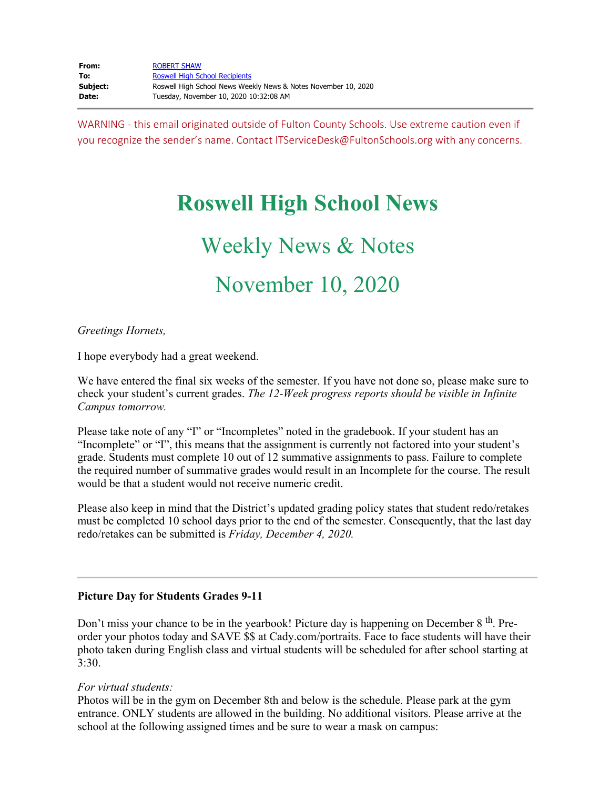| From:    | <b>ROBERT SHAW</b>                                             |
|----------|----------------------------------------------------------------|
| To:      | <b>Roswell High School Recipients</b>                          |
| Subiect: | Roswell High School News Weekly News & Notes November 10, 2020 |
| Date:    | Tuesday, November 10, 2020 10:32:08 AM                         |

WARNING - this email originated outside of Fulton County Schools. Use extreme caution even if you recognize the sender's name. Contact ITServiceDesk@FultonSchools.org with any concerns.

# **Roswell High School News**

# Weekly News & Notes November 10, 2020

#### *Greetings Hornets,*

I hope everybody had a great weekend.

We have entered the final six weeks of the semester. If you have not done so, please make sure to check your student's current grades. *The 12-Week progress reports should be visible in Infinite Campus tomorrow.*

Please take note of any "I" or "Incompletes" noted in the gradebook. If your student has an "Incomplete" or "I", this means that the assignment is currently not factored into your student's grade. Students must complete 10 out of 12 summative assignments to pass. Failure to complete the required number of summative grades would result in an Incomplete for the course. The result would be that a student would not receive numeric credit.

Please also keep in mind that the District's updated grading policy states that student redo/retakes must be completed 10 school days prior to the end of the semester. Consequently, that the last day redo/retakes can be submitted is *Friday, December 4, 2020.*

#### **Picture Day for Students Grades 9-11**

Don't miss your chance to be in the yearbook! Picture day is happening on December  $8<sup>th</sup>$ . Preorder your photos today and SAVE \$\$ at Cady.com/portraits. Face to face students will have their photo taken during English class and virtual students will be scheduled for after school starting at 3:30.

#### *For virtual students:*

Photos will be in the gym on December 8th and below is the schedule. Please park at the gym entrance. ONLY students are allowed in the building. No additional visitors. Please arrive at the school at the following assigned times and be sure to wear a mask on campus: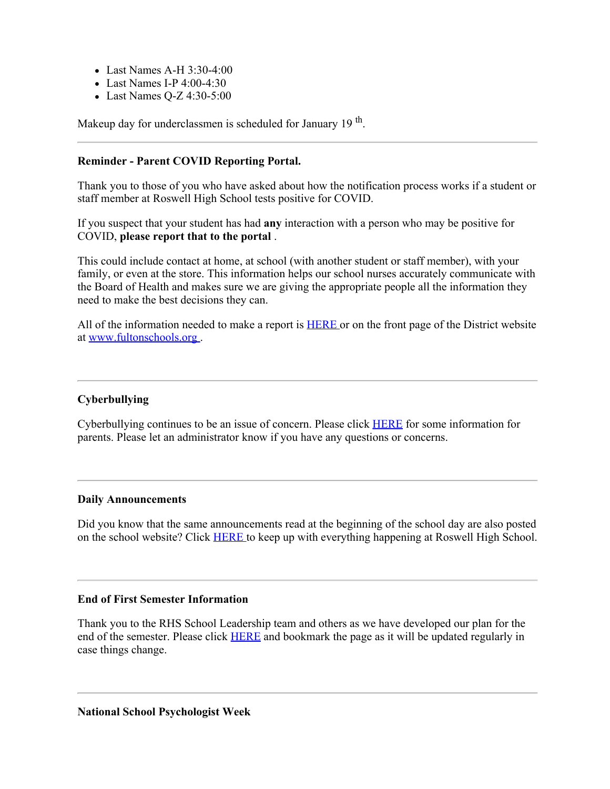- Last Names A-H 3:30-4:00
- Last Names I-P 4:00-4:30
- Last Names Q-Z 4:30-5:00

Makeup day for underclassmen is scheduled for January 19<sup>th</sup>.

#### **Reminder - Parent COVID Reporting Portal.**

Thank you to those of you who have asked about how the notification process works if a student or staff member at Roswell High School tests positive for COVID.

If you suspect that your student has had **any** interaction with a person who may be positive for COVID, **please report that to the portal** .

This could include contact at home, at school (with another student or staff member), with your family, or even at the store. This information helps our school nurses accurately communicate with the Board of Health and makes sure we are giving the appropriate people all the information they need to make the best decisions they can.

All of the information needed to make a report is [HERE](https://nam03.safelinks.protection.outlook.com/?url=https%3A%2F%2Ffultonschools.az1.qualtrics.com%2Fjfe%2Fform%2FSV_6hWlX46FNk8pNlz&data=04%7C01%7Cmurphys%40fultonschools.org%7Cd37c3d1214af4380a37608d8858dad28%7C0cdcb19881694b70ba9fda7e3ba700c2%7C1%7C0%7C637406191270204607%7CUnknown%7CTWFpbGZsb3d8eyJWIjoiMC4wLjAwMDAiLCJQIjoiV2luMzIiLCJBTiI6Ik1haWwiLCJXVCI6Mn0%3D%7C1000&sdata=19ySQLWZHOBeuLtyJY5BWOyz25FIVfnNiyA7JFoRn80%3D&reserved=0) or on the front page of the District website at [www.fultonschools.org](http://www.fultonschools.org/) .

## **Cyberbullying**

Cyberbullying continues to be an issue of concern. Please click [HERE](https://nam03.safelinks.protection.outlook.com/?url=http%3A%2F%2Fnew.shawadmin.com%2FRoswell%2FPublic%2FCyber.pdf&data=04%7C01%7Cmurphys%40fultonschools.org%7Cd37c3d1214af4380a37608d8858dad28%7C0cdcb19881694b70ba9fda7e3ba700c2%7C1%7C0%7C637406191270204607%7CUnknown%7CTWFpbGZsb3d8eyJWIjoiMC4wLjAwMDAiLCJQIjoiV2luMzIiLCJBTiI6Ik1haWwiLCJXVCI6Mn0%3D%7C1000&sdata=unmKtyGRkSMSmtSG0vvTDp%2FriAsvaAK1qdb%2Fq8%2Bih%2Bs%3D&reserved=0) for some information for parents. Please let an administrator know if you have any questions or concerns.

#### **Daily Announcements**

Did you know that the same announcements read at the beginning of the school day are also posted on the school website? Click [HERE](https://www.fultonschools.org/Page/16758) to keep up with everything happening at Roswell High School.

#### **End of First Semester Information**

Thank you to the RHS School Leadership team and others as we have developed our plan for the end of the semester. Please click [HERE](https://nam03.safelinks.protection.outlook.com/?url=http%3A%2F%2Fnew.shawadmin.com%2FRoswell%2FPublic%2FCommunity20202021.pdf&data=04%7C01%7Cmurphys%40fultonschools.org%7Cd37c3d1214af4380a37608d8858dad28%7C0cdcb19881694b70ba9fda7e3ba700c2%7C1%7C0%7C637406191270214600%7CUnknown%7CTWFpbGZsb3d8eyJWIjoiMC4wLjAwMDAiLCJQIjoiV2luMzIiLCJBTiI6Ik1haWwiLCJXVCI6Mn0%3D%7C1000&sdata=EBdgVjFU46amwMIyxwJ326C2NKn2swyB8bcnRN%2BxQsM%3D&reserved=0) and bookmark the page as it will be updated regularly in case things change.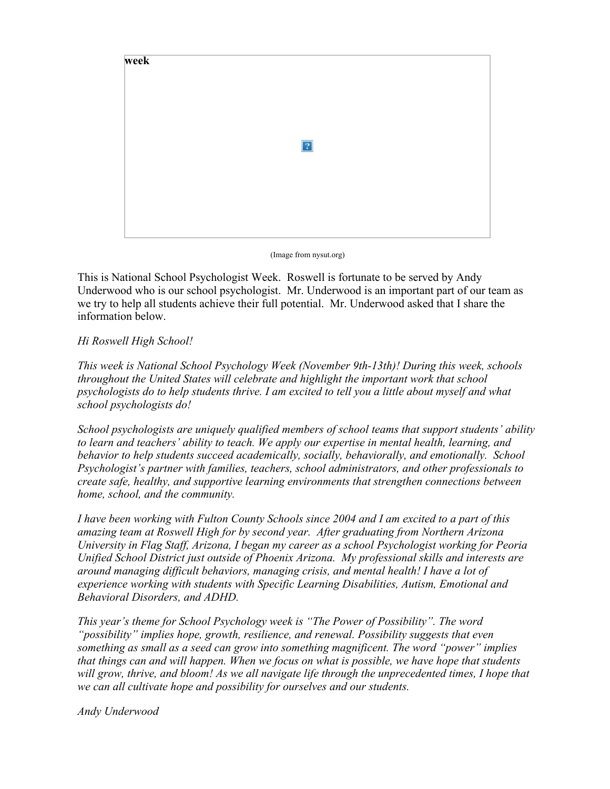

(Image from nysut.org)

This is National School Psychologist Week. Roswell is fortunate to be served by Andy Underwood who is our school psychologist. Mr. Underwood is an important part of our team as we try to help all students achieve their full potential. Mr. Underwood asked that I share the information below.

## *Hi Roswell High School!*

*This week is National School Psychology Week (November 9th-13th)! During this week, schools throughout the United States will celebrate and highlight the important work that school psychologists do to help students thrive. I am excited to tell you a little about myself and what school psychologists do!*

*School psychologists are uniquely qualified members of school teams that support students' ability to learn and teachers' ability to teach. We apply our expertise in mental health, learning, and behavior to help students succeed academically, socially, behaviorally, and emotionally. School Psychologist's partner with families, teachers, school administrators, and other professionals to create safe, healthy, and supportive learning environments that strengthen connections between home, school, and the community.*

*I have been working with Fulton County Schools since 2004 and I am excited to a part of this amazing team at Roswell High for by second year. After graduating from Northern Arizona University in Flag Staff, Arizona, I began my career as a school Psychologist working for Peoria Unified School District just outside of Phoenix Arizona. My professional skills and interests are around managing difficult behaviors, managing crisis, and mental health! I have a lot of experience working with students with Specific Learning Disabilities, Autism, Emotional and Behavioral Disorders, and ADHD.*

*This year's theme for School Psychology week is "The Power of Possibility". The word "possibility" implies hope, growth, resilience, and renewal. Possibility suggests that even something as small as a seed can grow into something magnificent. The word "power" implies that things can and will happen. When we focus on what is possible, we have hope that students will grow, thrive, and bloom! As we all navigate life through the unprecedented times, I hope that we can all cultivate hope and possibility for ourselves and our students.*

*Andy Underwood*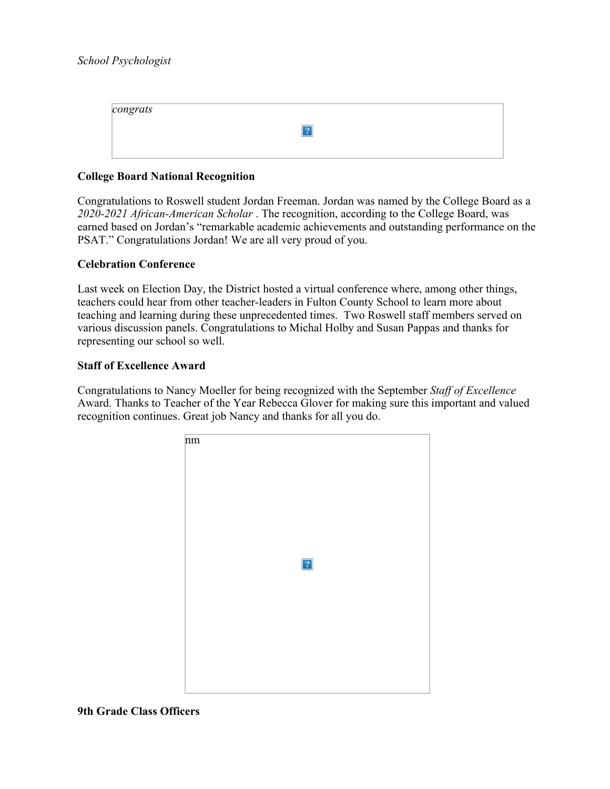| congrats |  |
|----------|--|
|          |  |
|          |  |

#### **College Board National Recognition**

Congratulations to Roswell student Jordan Freeman. Jordan was named by the College Board as a *2020-2021 African-American Scholar* . The recognition, according to the College Board, was earned based on Jordan's "remarkable academic achievements and outstanding performance on the PSAT." Congratulations Jordan! We are all very proud of you.

#### **Celebration Conference**

Last week on Election Day, the District hosted a virtual conference where, among other things, teachers could hear from other teacher-leaders in Fulton County School to learn more about teaching and learning during these unprecedented times. Two Roswell staff members served on various discussion panels. Congratulations to Michal Holby and Susan Pappas and thanks for representing our school so well.

#### **Staff of Excellence Award**

Congratulations to Nancy Moeller for being recognized with the September *Staff of Excellence* Award. Thanks to Teacher of the Year Rebecca Glover for making sure this important and valued recognition continues. Great job Nancy and thanks for all you do.



#### **9th Grade Class Officers**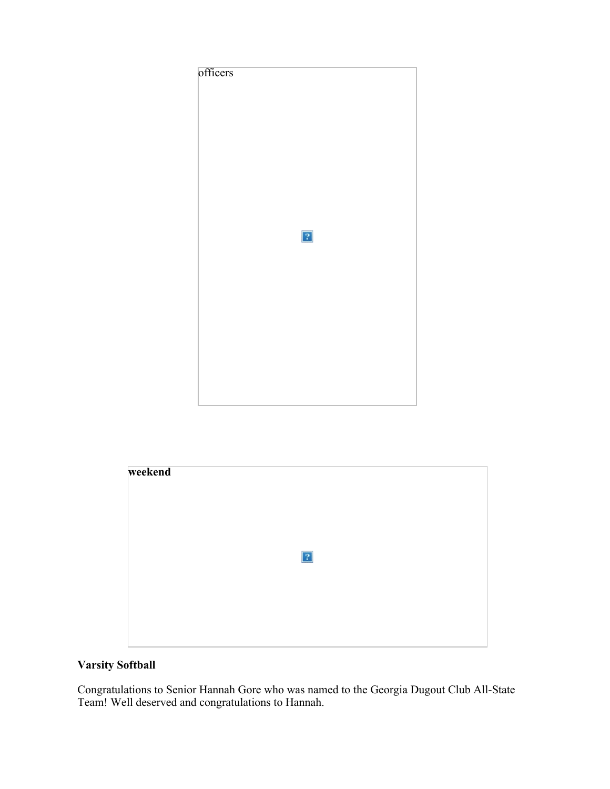



# **Varsity Softball**

Congratulations to Senior Hannah Gore who was named to the Georgia Dugout Club All-State Team! Well deserved and congratulations to Hannah.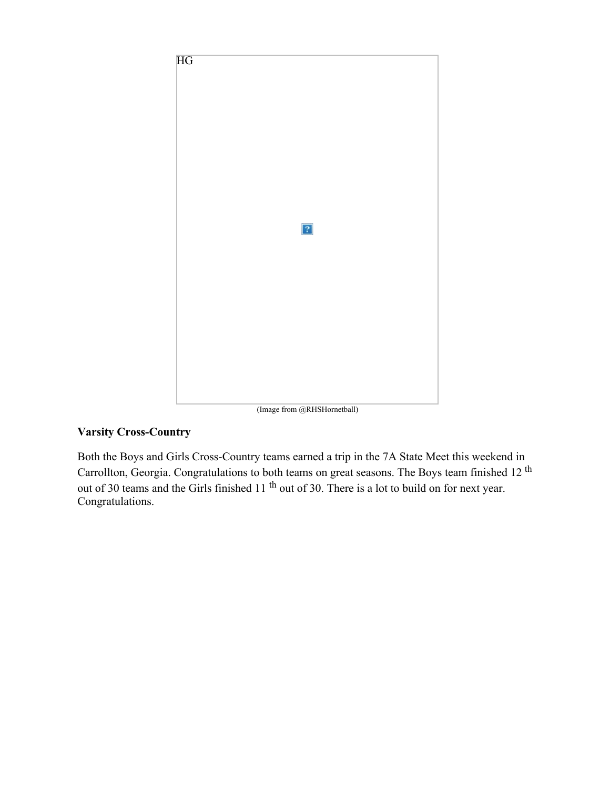

# **Varsity Cross-Country**

Both the Boys and Girls Cross-Country teams earned a trip in the 7A State Meet this weekend in Carrollton, Georgia. Congratulations to both teams on great seasons. The Boys team finished 12 <sup>th</sup> out of 30 teams and the Girls finished 11<sup>th</sup> out of 30. There is a lot to build on for next year. Congratulations.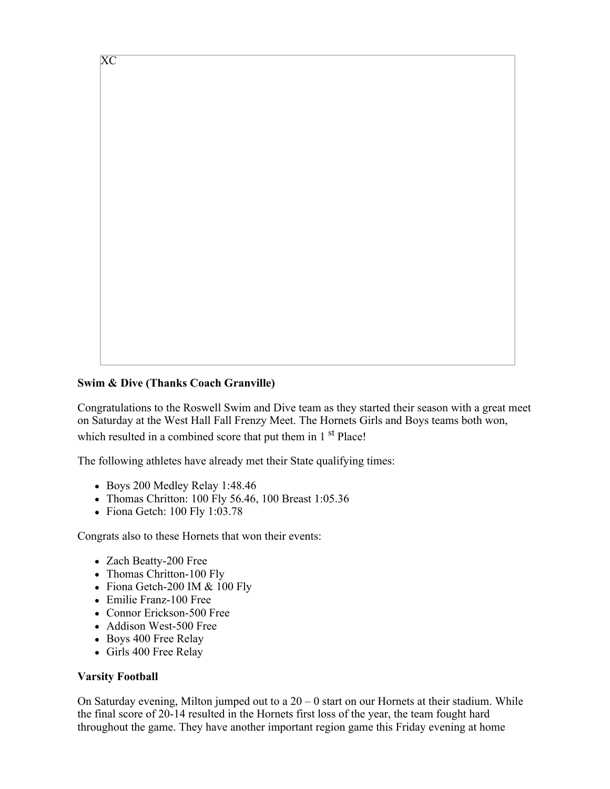

Congratulations to the Roswell Swim and Dive team as they started their season with a great meet on Saturday at the West Hall Fall Frenzy Meet. The Hornets Girls and Boys teams both won, which resulted in a combined score that put them in 1<sup>st</sup> Place!

The following athletes have already met their State qualifying times:

- Boys 200 Medley Relay 1:48.46
- Thomas Chritton: 100 Fly 56.46, 100 Breast 1:05.36
- $\bullet$  Fiona Getch: 100 Fly 1:03.78

Congrats also to these Hornets that won their events:

- Zach Beatty-200 Free
- Thomas Chritton-100 Fly
- Fiona Getch-200 IM & 100 Fly
- Emilie Franz-100 Free
- Connor Erickson-500 Free
- Addison West-500 Free
- Boys 400 Free Relay
- Girls 400 Free Relay

# **Varsity Football**

XC

On Saturday evening, Milton jumped out to a  $20 - 0$  start on our Hornets at their stadium. While the final score of 20-14 resulted in the Hornets first loss of the year, the team fought hard throughout the game. They have another important region game this Friday evening at home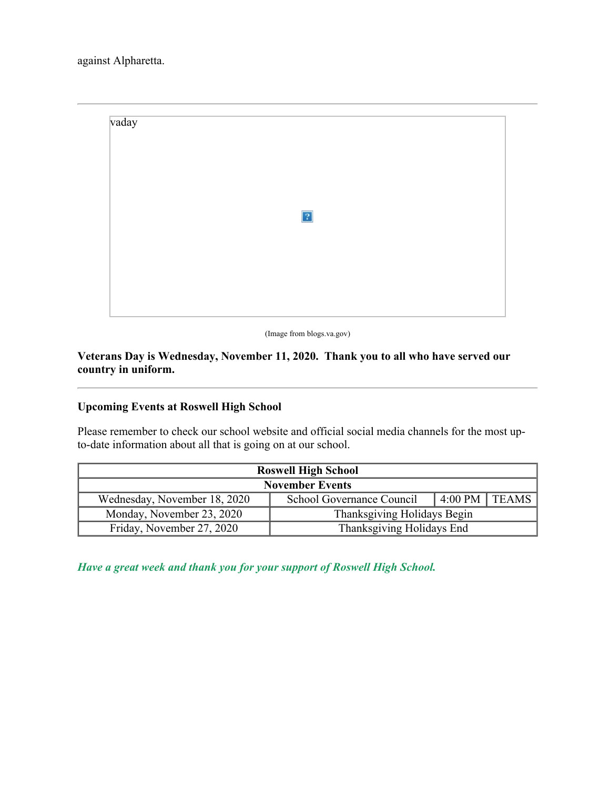

(Image from blogs.va.gov)

**Veterans Day is Wednesday, November 11, 2020. Thank you to all who have served our country in uniform.**

# **Upcoming Events at Roswell High School**

Please remember to check our school website and official social media channels for the most upto-date information about all that is going on at our school.

| <b>Roswell High School</b>   |                             |                   |  |  |  |  |
|------------------------------|-----------------------------|-------------------|--|--|--|--|
| <b>November Events</b>       |                             |                   |  |  |  |  |
| Wednesday, November 18, 2020 | School Governance Council   | $4:00$ PM   TEAMS |  |  |  |  |
| Monday, November 23, 2020    | Thanksgiving Holidays Begin |                   |  |  |  |  |
| Friday, November 27, 2020    | Thanksgiving Holidays End   |                   |  |  |  |  |

*Have a great week and thank you for your support of Roswell High School.*